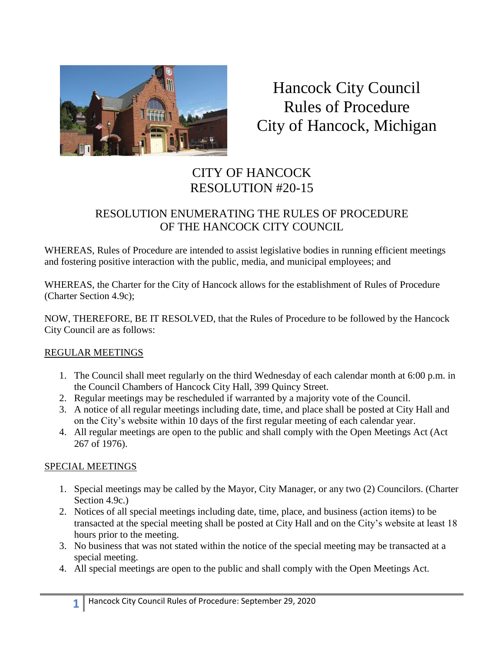

Hancock City Council Rules of Procedure City of Hancock, Michigan

# CITY OF HANCOCK RESOLUTION #20-15

## RESOLUTION ENUMERATING THE RULES OF PROCEDURE OF THE HANCOCK CITY COUNCIL

WHEREAS, Rules of Procedure are intended to assist legislative bodies in running efficient meetings and fostering positive interaction with the public, media, and municipal employees; and

WHEREAS, the Charter for the City of Hancock allows for the establishment of Rules of Procedure (Charter Section 4.9c);

NOW, THEREFORE, BE IT RESOLVED, that the Rules of Procedure to be followed by the Hancock City Council are as follows:

## REGULAR MEETINGS

- 1. The Council shall meet regularly on the third Wednesday of each calendar month at 6:00 p.m. in the Council Chambers of Hancock City Hall, 399 Quincy Street.
- 2. Regular meetings may be rescheduled if warranted by a majority vote of the Council.
- 3. A notice of all regular meetings including date, time, and place shall be posted at City Hall and on the City's website within 10 days of the first regular meeting of each calendar year.
- 4. All regular meetings are open to the public and shall comply with the Open Meetings Act (Act 267 of 1976).

## SPECIAL MEETINGS

- 1. Special meetings may be called by the Mayor, City Manager, or any two (2) Councilors. (Charter Section 4.9c.)
- 2. Notices of all special meetings including date, time, place, and business (action items) to be transacted at the special meeting shall be posted at City Hall and on the City's website at least 18 hours prior to the meeting.
- 3. No business that was not stated within the notice of the special meeting may be transacted at a special meeting.
- 4. All special meetings are open to the public and shall comply with the Open Meetings Act.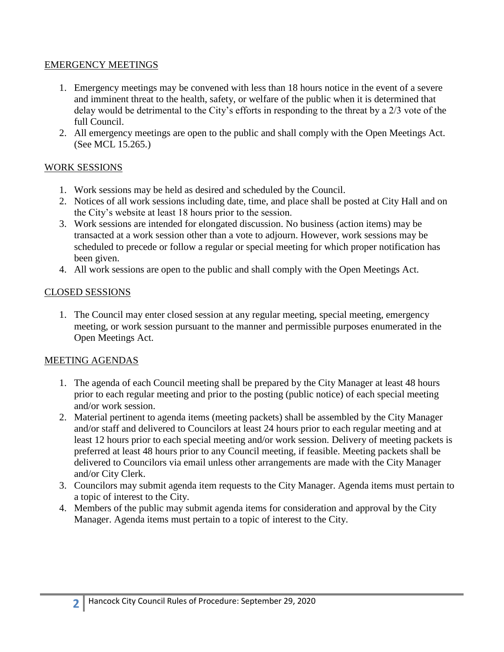#### EMERGENCY MEETINGS

- 1. Emergency meetings may be convened with less than 18 hours notice in the event of a severe and imminent threat to the health, safety, or welfare of the public when it is determined that delay would be detrimental to the City's efforts in responding to the threat by a 2/3 vote of the full Council.
- 2. All emergency meetings are open to the public and shall comply with the Open Meetings Act. (See MCL 15.265.)

## WORK SESSIONS

- 1. Work sessions may be held as desired and scheduled by the Council.
- 2. Notices of all work sessions including date, time, and place shall be posted at City Hall and on the City's website at least 18 hours prior to the session.
- 3. Work sessions are intended for elongated discussion. No business (action items) may be transacted at a work session other than a vote to adjourn. However, work sessions may be scheduled to precede or follow a regular or special meeting for which proper notification has been given.
- 4. All work sessions are open to the public and shall comply with the Open Meetings Act.

## CLOSED SESSIONS

1. The Council may enter closed session at any regular meeting, special meeting, emergency meeting, or work session pursuant to the manner and permissible purposes enumerated in the Open Meetings Act.

## MEETING AGENDAS

- 1. The agenda of each Council meeting shall be prepared by the City Manager at least 48 hours prior to each regular meeting and prior to the posting (public notice) of each special meeting and/or work session.
- 2. Material pertinent to agenda items (meeting packets) shall be assembled by the City Manager and/or staff and delivered to Councilors at least 24 hours prior to each regular meeting and at least 12 hours prior to each special meeting and/or work session. Delivery of meeting packets is preferred at least 48 hours prior to any Council meeting, if feasible. Meeting packets shall be delivered to Councilors via email unless other arrangements are made with the City Manager and/or City Clerk.
- 3. Councilors may submit agenda item requests to the City Manager. Agenda items must pertain to a topic of interest to the City.
- 4. Members of the public may submit agenda items for consideration and approval by the City Manager. Agenda items must pertain to a topic of interest to the City.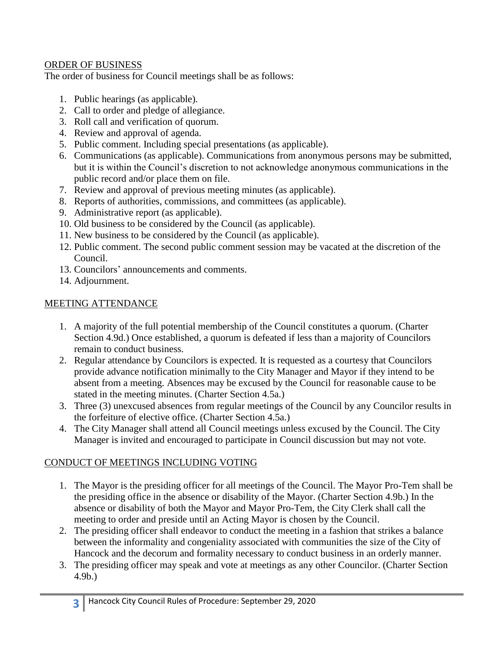## ORDER OF BUSINESS

The order of business for Council meetings shall be as follows:

- 1. Public hearings (as applicable).
- 2. Call to order and pledge of allegiance.
- 3. Roll call and verification of quorum.
- 4. Review and approval of agenda.
- 5. Public comment. Including special presentations (as applicable).
- 6. Communications (as applicable). Communications from anonymous persons may be submitted, but it is within the Council's discretion to not acknowledge anonymous communications in the public record and/or place them on file.
- 7. Review and approval of previous meeting minutes (as applicable).
- 8. Reports of authorities, commissions, and committees (as applicable).
- 9. Administrative report (as applicable).
- 10. Old business to be considered by the Council (as applicable).
- 11. New business to be considered by the Council (as applicable).
- 12. Public comment. The second public comment session may be vacated at the discretion of the Council.
- 13. Councilors' announcements and comments.
- 14. Adjournment.

## MEETING ATTENDANCE

- 1. A majority of the full potential membership of the Council constitutes a quorum. (Charter Section 4.9d.) Once established, a quorum is defeated if less than a majority of Councilors remain to conduct business.
- 2. Regular attendance by Councilors is expected. It is requested as a courtesy that Councilors provide advance notification minimally to the City Manager and Mayor if they intend to be absent from a meeting. Absences may be excused by the Council for reasonable cause to be stated in the meeting minutes. (Charter Section 4.5a.)
- 3. Three (3) unexcused absences from regular meetings of the Council by any Councilor results in the forfeiture of elective office. (Charter Section 4.5a.)
- 4. The City Manager shall attend all Council meetings unless excused by the Council. The City Manager is invited and encouraged to participate in Council discussion but may not vote.

## CONDUCT OF MEETINGS INCLUDING VOTING

- 1. The Mayor is the presiding officer for all meetings of the Council. The Mayor Pro-Tem shall be the presiding office in the absence or disability of the Mayor. (Charter Section 4.9b.) In the absence or disability of both the Mayor and Mayor Pro-Tem, the City Clerk shall call the meeting to order and preside until an Acting Mayor is chosen by the Council.
- 2. The presiding officer shall endeavor to conduct the meeting in a fashion that strikes a balance between the informality and congeniality associated with communities the size of the City of Hancock and the decorum and formality necessary to conduct business in an orderly manner.
- 3. The presiding officer may speak and vote at meetings as any other Councilor. (Charter Section 4.9b.)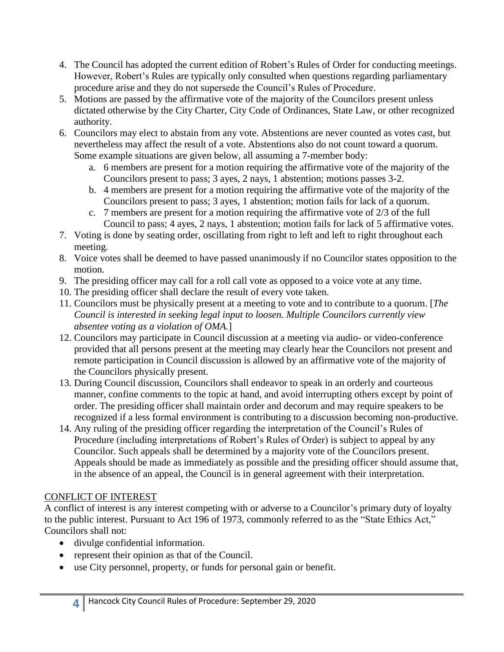- 4. The Council has adopted the current edition of Robert's Rules of Order for conducting meetings. However, Robert's Rules are typically only consulted when questions regarding parliamentary procedure arise and they do not supersede the Council's Rules of Procedure.
- 5. Motions are passed by the affirmative vote of the majority of the Councilors present unless dictated otherwise by the City Charter, City Code of Ordinances, State Law, or other recognized authority.
- 6. Councilors may elect to abstain from any vote. Abstentions are never counted as votes cast, but nevertheless may affect the result of a vote. Abstentions also do not count toward a quorum. Some example situations are given below, all assuming a 7-member body:
	- a. 6 members are present for a motion requiring the affirmative vote of the majority of the Councilors present to pass; 3 ayes, 2 nays, 1 abstention; motions passes 3-2.
	- b. 4 members are present for a motion requiring the affirmative vote of the majority of the Councilors present to pass; 3 ayes, 1 abstention; motion fails for lack of a quorum.
	- c. 7 members are present for a motion requiring the affirmative vote of 2/3 of the full Council to pass; 4 ayes, 2 nays, 1 abstention; motion fails for lack of 5 affirmative votes.
- 7. Voting is done by seating order, oscillating from right to left and left to right throughout each meeting.
- 8. Voice votes shall be deemed to have passed unanimously if no Councilor states opposition to the motion.
- 9. The presiding officer may call for a roll call vote as opposed to a voice vote at any time.
- 10. The presiding officer shall declare the result of every vote taken.
- 11. Councilors must be physically present at a meeting to vote and to contribute to a quorum. [*The Council is interested in seeking legal input to loosen. Multiple Councilors currently view absentee voting as a violation of OMA.*]
- 12. Councilors may participate in Council discussion at a meeting via audio- or video-conference provided that all persons present at the meeting may clearly hear the Councilors not present and remote participation in Council discussion is allowed by an affirmative vote of the majority of the Councilors physically present.
- 13. During Council discussion, Councilors shall endeavor to speak in an orderly and courteous manner, confine comments to the topic at hand, and avoid interrupting others except by point of order. The presiding officer shall maintain order and decorum and may require speakers to be recognized if a less formal environment is contributing to a discussion becoming non-productive.
- 14. Any ruling of the presiding officer regarding the interpretation of the Council's Rules of Procedure (including interpretations of Robert's Rules of Order) is subject to appeal by any Councilor. Such appeals shall be determined by a majority vote of the Councilors present. Appeals should be made as immediately as possible and the presiding officer should assume that, in the absence of an appeal, the Council is in general agreement with their interpretation.

## CONFLICT OF INTEREST

A conflict of interest is any interest competing with or adverse to a Councilor's primary duty of loyalty to the public interest. Pursuant to Act 196 of 1973, commonly referred to as the "State Ethics Act," Councilors shall not:

- divulge confidential information.
- represent their opinion as that of the Council.
- use City personnel, property, or funds for personal gain or benefit.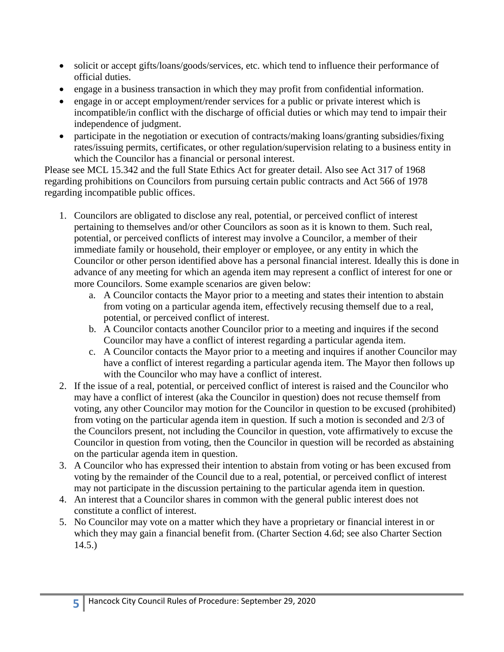- solicit or accept gifts/loans/goods/services, etc. which tend to influence their performance of official duties.
- engage in a business transaction in which they may profit from confidential information.
- engage in or accept employment/render services for a public or private interest which is incompatible/in conflict with the discharge of official duties or which may tend to impair their independence of judgment.
- participate in the negotiation or execution of contracts/making loans/granting subsidies/fixing rates/issuing permits, certificates, or other regulation/supervision relating to a business entity in which the Councilor has a financial or personal interest.

Please see MCL 15.342 and the full State Ethics Act for greater detail. Also see Act 317 of 1968 regarding prohibitions on Councilors from pursuing certain public contracts and Act 566 of 1978 regarding incompatible public offices.

- 1. Councilors are obligated to disclose any real, potential, or perceived conflict of interest pertaining to themselves and/or other Councilors as soon as it is known to them. Such real, potential, or perceived conflicts of interest may involve a Councilor, a member of their immediate family or household, their employer or employee, or any entity in which the Councilor or other person identified above has a personal financial interest. Ideally this is done in advance of any meeting for which an agenda item may represent a conflict of interest for one or more Councilors. Some example scenarios are given below:
	- a. A Councilor contacts the Mayor prior to a meeting and states their intention to abstain from voting on a particular agenda item, effectively recusing themself due to a real, potential, or perceived conflict of interest.
	- b. A Councilor contacts another Councilor prior to a meeting and inquires if the second Councilor may have a conflict of interest regarding a particular agenda item.
	- c. A Councilor contacts the Mayor prior to a meeting and inquires if another Councilor may have a conflict of interest regarding a particular agenda item. The Mayor then follows up with the Councilor who may have a conflict of interest.
- 2. If the issue of a real, potential, or perceived conflict of interest is raised and the Councilor who may have a conflict of interest (aka the Councilor in question) does not recuse themself from voting, any other Councilor may motion for the Councilor in question to be excused (prohibited) from voting on the particular agenda item in question. If such a motion is seconded and 2/3 of the Councilors present, not including the Councilor in question, vote affirmatively to excuse the Councilor in question from voting, then the Councilor in question will be recorded as abstaining on the particular agenda item in question.
- 3. A Councilor who has expressed their intention to abstain from voting or has been excused from voting by the remainder of the Council due to a real, potential, or perceived conflict of interest may not participate in the discussion pertaining to the particular agenda item in question.
- 4. An interest that a Councilor shares in common with the general public interest does not constitute a conflict of interest.
- 5. No Councilor may vote on a matter which they have a proprietary or financial interest in or which they may gain a financial benefit from. (Charter Section 4.6d; see also Charter Section 14.5.)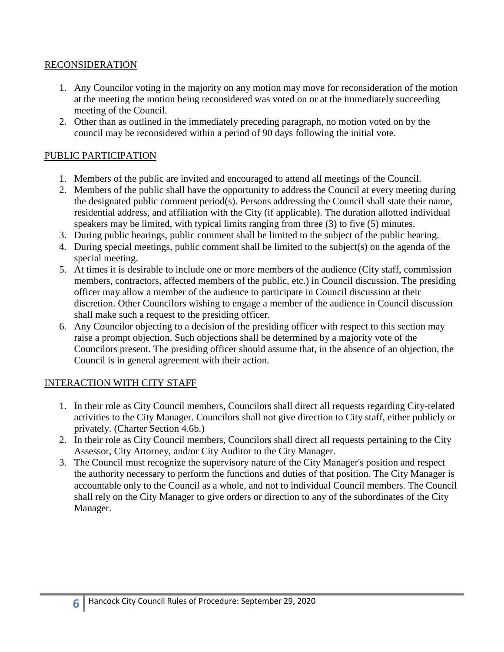#### RECONSIDERATION

- 1. Any Councilor voting in the majority on any motion may move for reconsideration of the motion at the meeting the motion being reconsidered was voted on or at the immediately succeeding meeting of the Council.
- 2. Other than as outlined in the immediately preceding paragraph, no motion voted on by the council may be reconsidered within a period of 90 days following the initial vote.

#### PUBLIC PARTICIPATION

- 1. Members of the public are invited and encouraged to attend all meetings of the Council.
- 2. Members of the public shall have the opportunity to address the Council at every meeting during the designated public comment period(s). Persons addressing the Council shall state their name, residential address, and affiliation with the City (if applicable). The duration allotted individual speakers may be limited, with typical limits ranging from three (3) to five (5) minutes.
- 3. During public hearings, public comment shall be limited to the subject of the public hearing.
- 4. During special meetings, public comment shall be limited to the subject(s) on the agenda of the special meeting.
- 5. At times it is desirable to include one or more members of the audience (City staff, commission members, contractors, affected members of the public, etc.) in Council discussion. The presiding officer may allow a member of the audience to participate in Council discussion at their discretion. Other Councilors wishing to engage a member of the audience in Council discussion shall make such a request to the presiding officer.
- 6. Any Councilor objecting to a decision of the presiding officer with respect to this section may raise a prompt objection. Such objections shall be determined by a majority vote of the Councilors present. The presiding officer should assume that, in the absence of an objection, the Council is in general agreement with their action.

#### INTERACTION WITH CITY STAFF

- 1. In their role as City Council members, Councilors shall direct all requests regarding City-related activities to the City Manager. Councilors shall not give direction to City staff, either publicly or privately. (Charter Section 4.6b.)
- 2. In their role as City Council members, Councilors shall direct all requests pertaining to the City Assessor, City Attorney, and/or City Auditor to the City Manager.
- 3. The Council must recognize the supervisory nature of the City Manager's position and respect the authority necessary to perform the functions and duties of that position. The City Manager is accountable only to the Council as a whole, and not to individual Council members. The Council shall rely on the City Manager to give orders or direction to any of the subordinates of the City Manager.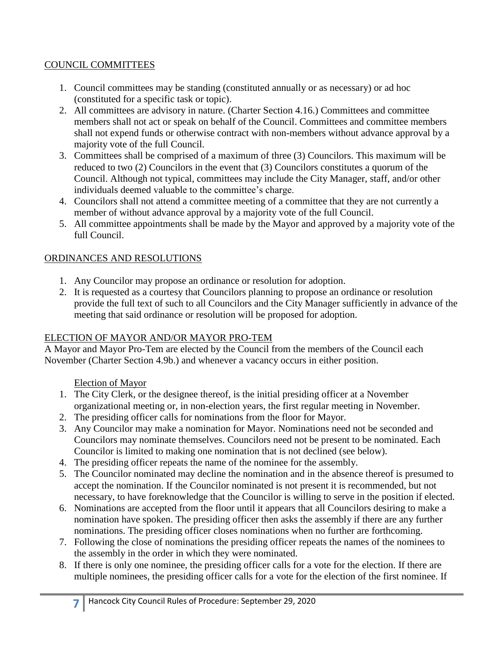## COUNCIL COMMITTEES

- 1. Council committees may be standing (constituted annually or as necessary) or ad hoc (constituted for a specific task or topic).
- 2. All committees are advisory in nature. (Charter Section 4.16.) Committees and committee members shall not act or speak on behalf of the Council. Committees and committee members shall not expend funds or otherwise contract with non-members without advance approval by a majority vote of the full Council.
- 3. Committees shall be comprised of a maximum of three (3) Councilors. This maximum will be reduced to two (2) Councilors in the event that (3) Councilors constitutes a quorum of the Council. Although not typical, committees may include the City Manager, staff, and/or other individuals deemed valuable to the committee's charge.
- 4. Councilors shall not attend a committee meeting of a committee that they are not currently a member of without advance approval by a majority vote of the full Council.
- 5. All committee appointments shall be made by the Mayor and approved by a majority vote of the full Council.

## ORDINANCES AND RESOLUTIONS

- 1. Any Councilor may propose an ordinance or resolution for adoption.
- 2. It is requested as a courtesy that Councilors planning to propose an ordinance or resolution provide the full text of such to all Councilors and the City Manager sufficiently in advance of the meeting that said ordinance or resolution will be proposed for adoption.

## ELECTION OF MAYOR AND/OR MAYOR PRO-TEM

A Mayor and Mayor Pro-Tem are elected by the Council from the members of the Council each November (Charter Section 4.9b.) and whenever a vacancy occurs in either position.

## Election of Mayor

- 1. The City Clerk, or the designee thereof, is the initial presiding officer at a November organizational meeting or, in non-election years, the first regular meeting in November.
- 2. The presiding officer calls for nominations from the floor for Mayor.
- 3. Any Councilor may make a nomination for Mayor. Nominations need not be seconded and Councilors may nominate themselves. Councilors need not be present to be nominated. Each Councilor is limited to making one nomination that is not declined (see below).
- 4. The presiding officer repeats the name of the nominee for the assembly.
- 5. The Councilor nominated may decline the nomination and in the absence thereof is presumed to accept the nomination. If the Councilor nominated is not present it is recommended, but not necessary, to have foreknowledge that the Councilor is willing to serve in the position if elected.
- 6. Nominations are accepted from the floor until it appears that all Councilors desiring to make a nomination have spoken. The presiding officer then asks the assembly if there are any further nominations. The presiding officer closes nominations when no further are forthcoming.
- 7. Following the close of nominations the presiding officer repeats the names of the nominees to the assembly in the order in which they were nominated.
- 8. If there is only one nominee, the presiding officer calls for a vote for the election. If there are multiple nominees, the presiding officer calls for a vote for the election of the first nominee. If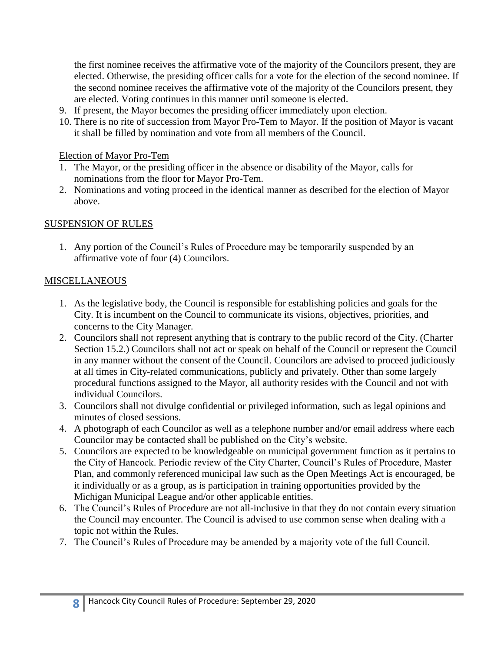the first nominee receives the affirmative vote of the majority of the Councilors present, they are elected. Otherwise, the presiding officer calls for a vote for the election of the second nominee. If the second nominee receives the affirmative vote of the majority of the Councilors present, they are elected. Voting continues in this manner until someone is elected.

- 9. If present, the Mayor becomes the presiding officer immediately upon election.
- 10. There is no rite of succession from Mayor Pro-Tem to Mayor. If the position of Mayor is vacant it shall be filled by nomination and vote from all members of the Council.

#### Election of Mayor Pro-Tem

- 1. The Mayor, or the presiding officer in the absence or disability of the Mayor, calls for nominations from the floor for Mayor Pro-Tem.
- 2. Nominations and voting proceed in the identical manner as described for the election of Mayor above.

## SUSPENSION OF RULES

1. Any portion of the Council's Rules of Procedure may be temporarily suspended by an affirmative vote of four (4) Councilors.

#### **MISCELLANEOUS**

- 1. As the legislative body, the Council is responsible for establishing policies and goals for the City. It is incumbent on the Council to communicate its visions, objectives, priorities, and concerns to the City Manager.
- 2. Councilors shall not represent anything that is contrary to the public record of the City. (Charter Section 15.2.) Councilors shall not act or speak on behalf of the Council or represent the Council in any manner without the consent of the Council. Councilors are advised to proceed judiciously at all times in City-related communications, publicly and privately. Other than some largely procedural functions assigned to the Mayor, all authority resides with the Council and not with individual Councilors.
- 3. Councilors shall not divulge confidential or privileged information, such as legal opinions and minutes of closed sessions.
- 4. A photograph of each Councilor as well as a telephone number and/or email address where each Councilor may be contacted shall be published on the City's website.
- 5. Councilors are expected to be knowledgeable on municipal government function as it pertains to the City of Hancock. Periodic review of the City Charter, Council's Rules of Procedure, Master Plan, and commonly referenced municipal law such as the Open Meetings Act is encouraged, be it individually or as a group, as is participation in training opportunities provided by the Michigan Municipal League and/or other applicable entities.
- 6. The Council's Rules of Procedure are not all-inclusive in that they do not contain every situation the Council may encounter. The Council is advised to use common sense when dealing with a topic not within the Rules.
- 7. The Council's Rules of Procedure may be amended by a majority vote of the full Council.